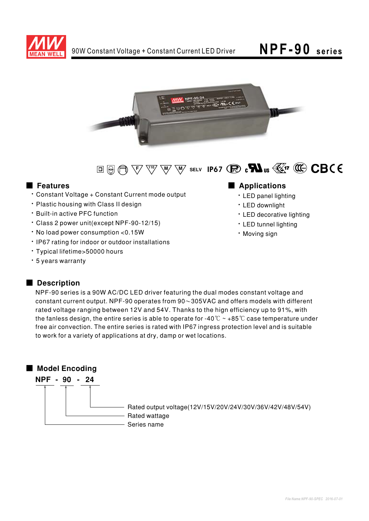



## 

#### **E** Features

- \* Constant Voltage + Constant Current mode output
- . Plastic housing with Class II design
- · Built-in active PFC function
- · Class 2 power unit(except NPF-90-12/15)
- · No load power consumption <0.15W
- . IP67 rating for indoor or outdoor installations
- · Typical lifetime>50000 hours
- \* 5 years warranty

## Applications

- · LED panel lighting
- · LED downlight
- LED decorative lighting
- LED tunnel lighting
- · Moving sign

#### Description

NPF-90 series is a 90W AC/DC LED driver featuring the dual modes constant voltage and constant current output. NPF-90 operates from  $90\sim305$ VAC and offers models with different rated voltage ranging between 12V and 54V. Thanks to the hign efficiency up to 91%, with the fanless design, the entire series is able to operate for -40 $\degree$ C ~ +85 $\degree$ C case temperature under free air convection. The entire series is rated with IP67 ingress protection level and is suitable to work for a variety of applications at dry, damp or wet locations.

### Model Encoding NPF - 90 - 24 Rated output voltage(12V/15V/20V/24V/30V/36V/42V/48V/54V) Rated wattage - Series name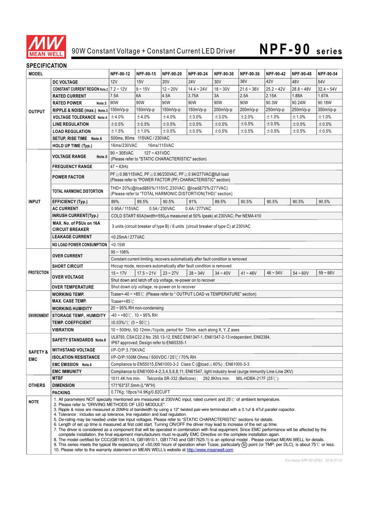

# **NPF-90 series**

#### **SPECIFICATION**

| <b>MODEL</b>                      |                                                   | NPF-90-12                                                                                                                                                                                                                                                                                                                                                                                                                                                                                                                                                                                                                                                                                                                                                                                                                                                                                                                                                                                                                                                                                                                                                                                                                                                                                                                                                          | NPF-90-15                                                  | NPF-90-20  | NPF-90-24       | NPF-90-30  | NPF-90-36    | NPF-90-42    | NPF-90-48    | NPF-90-54    |  |
|-----------------------------------|---------------------------------------------------|--------------------------------------------------------------------------------------------------------------------------------------------------------------------------------------------------------------------------------------------------------------------------------------------------------------------------------------------------------------------------------------------------------------------------------------------------------------------------------------------------------------------------------------------------------------------------------------------------------------------------------------------------------------------------------------------------------------------------------------------------------------------------------------------------------------------------------------------------------------------------------------------------------------------------------------------------------------------------------------------------------------------------------------------------------------------------------------------------------------------------------------------------------------------------------------------------------------------------------------------------------------------------------------------------------------------------------------------------------------------|------------------------------------------------------------|------------|-----------------|------------|--------------|--------------|--------------|--------------|--|
| <b>OUTPUT</b>                     | <b>DC VOLTAGE</b>                                 | 12V                                                                                                                                                                                                                                                                                                                                                                                                                                                                                                                                                                                                                                                                                                                                                                                                                                                                                                                                                                                                                                                                                                                                                                                                                                                                                                                                                                | 15V                                                        | <b>20V</b> | 24 <sub>V</sub> | 30V        | 36V          | 42V          | 48V          | 54V          |  |
|                                   | <b>CONSTANT CURRENT REGION Note.2   7.2 ~ 12V</b> |                                                                                                                                                                                                                                                                                                                                                                                                                                                                                                                                                                                                                                                                                                                                                                                                                                                                                                                                                                                                                                                                                                                                                                                                                                                                                                                                                                    | $9 - 15V$                                                  | $12 - 20V$ | $14.4 - 24V$    | $18 - 30V$ | $21.6 - 36V$ | $25.2 - 42V$ | $28.8 - 48V$ | $32.4 - 54V$ |  |
|                                   | <b>RATED CURRENT</b>                              | 7.5A                                                                                                                                                                                                                                                                                                                                                                                                                                                                                                                                                                                                                                                                                                                                                                                                                                                                                                                                                                                                                                                                                                                                                                                                                                                                                                                                                               | 6A                                                         | 4.5A       | 3.75A           | 3A         | 2.5A         | 2.15A        | 1.88A        | 1.67A        |  |
|                                   | <b>RATED POWER</b><br>Note.5                      | 90W                                                                                                                                                                                                                                                                                                                                                                                                                                                                                                                                                                                                                                                                                                                                                                                                                                                                                                                                                                                                                                                                                                                                                                                                                                                                                                                                                                | 90W                                                        | 90W        | 90W             | 90W        | 90W          | 90.3W        | 90.24W       | 90.18W       |  |
|                                   | RIPPLE & NOISE (max.) Note.3 150mVp-p             |                                                                                                                                                                                                                                                                                                                                                                                                                                                                                                                                                                                                                                                                                                                                                                                                                                                                                                                                                                                                                                                                                                                                                                                                                                                                                                                                                                    | $150mVp-p$                                                 | 150mVp-p   | 150mVp-p        | 200mVp-p   | 200mVp-p     | 250mVp-p     | 250mVp-p     | 350mVp-p     |  |
|                                   | <b>VOLTAGE TOLERANCE Note.4</b>                   | ±4.0%                                                                                                                                                                                                                                                                                                                                                                                                                                                                                                                                                                                                                                                                                                                                                                                                                                                                                                                                                                                                                                                                                                                                                                                                                                                                                                                                                              | ±4.0%                                                      | ±4.0%      | ±3.0%           | ±3.0%      | ±2.0%        | ±1.0%        | ±1.0%        | ±1.0%        |  |
|                                   | <b>LINE REGULATION</b>                            | ±0.5%                                                                                                                                                                                                                                                                                                                                                                                                                                                                                                                                                                                                                                                                                                                                                                                                                                                                                                                                                                                                                                                                                                                                                                                                                                                                                                                                                              | ±0.5%                                                      | ±0.5%      | ±0.5%           | ±0.5%      | ±0.5%        | ±0.5%        | ±0.5%        | ±0.5%        |  |
|                                   | <b>LOAD REGULATION</b>                            | ±1.5%                                                                                                                                                                                                                                                                                                                                                                                                                                                                                                                                                                                                                                                                                                                                                                                                                                                                                                                                                                                                                                                                                                                                                                                                                                                                                                                                                              | ±1.0%                                                      | $\pm 0.5%$ | $\pm 0.5%$      | ±0.5%      | ±0.5%        | ±0.5%        | ±0.5%        | ±0.5%        |  |
|                                   | SETUP, RISE TIME Note.6                           |                                                                                                                                                                                                                                                                                                                                                                                                                                                                                                                                                                                                                                                                                                                                                                                                                                                                                                                                                                                                                                                                                                                                                                                                                                                                                                                                                                    | 500ms, 80ms 115VAC / 230VAC                                |            |                 |            |              |              |              |              |  |
|                                   | <b>HOLD UP TIME (Typ.)</b>                        | 16ms/230VAC<br>16ms/115VAC                                                                                                                                                                                                                                                                                                                                                                                                                                                                                                                                                                                                                                                                                                                                                                                                                                                                                                                                                                                                                                                                                                                                                                                                                                                                                                                                         |                                                            |            |                 |            |              |              |              |              |  |
|                                   | <b>VOLTAGE RANGE</b><br>Note.5                    | $90 \sim 305$ VAC<br>$127 - 431VDC$                                                                                                                                                                                                                                                                                                                                                                                                                                                                                                                                                                                                                                                                                                                                                                                                                                                                                                                                                                                                                                                                                                                                                                                                                                                                                                                                |                                                            |            |                 |            |              |              |              |              |  |
| <b>INPUT</b>                      |                                                   | (Please refer to "STATIC CHARACTERISTIC" section)                                                                                                                                                                                                                                                                                                                                                                                                                                                                                                                                                                                                                                                                                                                                                                                                                                                                                                                                                                                                                                                                                                                                                                                                                                                                                                                  |                                                            |            |                 |            |              |              |              |              |  |
|                                   | <b>FREQUENCY RANGE</b>                            | $47 - 63$ Hz                                                                                                                                                                                                                                                                                                                                                                                                                                                                                                                                                                                                                                                                                                                                                                                                                                                                                                                                                                                                                                                                                                                                                                                                                                                                                                                                                       |                                                            |            |                 |            |              |              |              |              |  |
|                                   |                                                   | PF ≥ 0.98/115VAC, PF ≥ 0.96/230VAC, PF ≥ 0.94/277VAC@full load                                                                                                                                                                                                                                                                                                                                                                                                                                                                                                                                                                                                                                                                                                                                                                                                                                                                                                                                                                                                                                                                                                                                                                                                                                                                                                     |                                                            |            |                 |            |              |              |              |              |  |
|                                   | <b>POWER FACTOR</b>                               | (Please refer to "POWER FACTOR (PF) CHARACTERISTIC" section)                                                                                                                                                                                                                                                                                                                                                                                                                                                                                                                                                                                                                                                                                                                                                                                                                                                                                                                                                                                                                                                                                                                                                                                                                                                                                                       |                                                            |            |                 |            |              |              |              |              |  |
|                                   |                                                   | THD<20%(@load≧60%/115VC,230VAC;@load≧75%/277VAC)                                                                                                                                                                                                                                                                                                                                                                                                                                                                                                                                                                                                                                                                                                                                                                                                                                                                                                                                                                                                                                                                                                                                                                                                                                                                                                                   |                                                            |            |                 |            |              |              |              |              |  |
|                                   | TOTAL HARMONIC DISTORTION                         |                                                                                                                                                                                                                                                                                                                                                                                                                                                                                                                                                                                                                                                                                                                                                                                                                                                                                                                                                                                                                                                                                                                                                                                                                                                                                                                                                                    | (Please refer to "TOTAL HARMONIC DISTORTION(THD)" section) |            |                 |            |              |              |              |              |  |
|                                   | <b>EFFICIENCY (Typ.)</b>                          | 89%                                                                                                                                                                                                                                                                                                                                                                                                                                                                                                                                                                                                                                                                                                                                                                                                                                                                                                                                                                                                                                                                                                                                                                                                                                                                                                                                                                | 89.5%                                                      | 90.5%      | 91%             | 89.5%      | 90.5%        | 90.5%        | 90.5%        | 90.5%        |  |
|                                   | <b>AC CURRENT</b>                                 |                                                                                                                                                                                                                                                                                                                                                                                                                                                                                                                                                                                                                                                                                                                                                                                                                                                                                                                                                                                                                                                                                                                                                                                                                                                                                                                                                                    | 0.95A / 115VAC<br>0.5A / 230VAC<br>0.4A/277VAC             |            |                 |            |              |              |              |              |  |
|                                   | <b>INRUSH CURRENT(Typ.)</b>                       | COLD START 60A(twidth=550µs measured at 50% Ipeak) at 230VAC; Per NEMA 410                                                                                                                                                                                                                                                                                                                                                                                                                                                                                                                                                                                                                                                                                                                                                                                                                                                                                                                                                                                                                                                                                                                                                                                                                                                                                         |                                                            |            |                 |            |              |              |              |              |  |
|                                   | MAX. No. of PSUs on 16A                           | 3 units (circuit breaker of type B) / 6 units (circuit breaker of type C) at 230VAC                                                                                                                                                                                                                                                                                                                                                                                                                                                                                                                                                                                                                                                                                                                                                                                                                                                                                                                                                                                                                                                                                                                                                                                                                                                                                |                                                            |            |                 |            |              |              |              |              |  |
|                                   | <b>CIRCUIT BREAKER</b>                            |                                                                                                                                                                                                                                                                                                                                                                                                                                                                                                                                                                                                                                                                                                                                                                                                                                                                                                                                                                                                                                                                                                                                                                                                                                                                                                                                                                    |                                                            |            |                 |            |              |              |              |              |  |
|                                   | <b>LEAKAGE CURRENT</b>                            | <0.25mA / 277VAC                                                                                                                                                                                                                                                                                                                                                                                                                                                                                                                                                                                                                                                                                                                                                                                                                                                                                                                                                                                                                                                                                                                                                                                                                                                                                                                                                   |                                                            |            |                 |            |              |              |              |              |  |
|                                   | <b>NO LOAD POWER CONSUMPTION</b>                  | < 0.15W                                                                                                                                                                                                                                                                                                                                                                                                                                                                                                                                                                                                                                                                                                                                                                                                                                                                                                                                                                                                                                                                                                                                                                                                                                                                                                                                                            |                                                            |            |                 |            |              |              |              |              |  |
| <b>PROTECTION</b>                 | <b>OVER CURRENT</b>                               | $95 - 108%$                                                                                                                                                                                                                                                                                                                                                                                                                                                                                                                                                                                                                                                                                                                                                                                                                                                                                                                                                                                                                                                                                                                                                                                                                                                                                                                                                        |                                                            |            |                 |            |              |              |              |              |  |
|                                   |                                                   | Constant current limiting, recovers automatically after fault condition is removed                                                                                                                                                                                                                                                                                                                                                                                                                                                                                                                                                                                                                                                                                                                                                                                                                                                                                                                                                                                                                                                                                                                                                                                                                                                                                 |                                                            |            |                 |            |              |              |              |              |  |
|                                   | <b>SHORT CIRCUIT</b>                              | Hiccup mode, recovers automatically after fault condition is removed                                                                                                                                                                                                                                                                                                                                                                                                                                                                                                                                                                                                                                                                                                                                                                                                                                                                                                                                                                                                                                                                                                                                                                                                                                                                                               |                                                            |            |                 |            |              |              |              |              |  |
|                                   |                                                   | $15 - 17V$                                                                                                                                                                                                                                                                                                                                                                                                                                                                                                                                                                                                                                                                                                                                                                                                                                                                                                                                                                                                                                                                                                                                                                                                                                                                                                                                                         | $17.5 - 21V$                                               | $23 - 27V$ | $28 - 34V$      | $34 - 40V$ | $41 - 46V$   | $46 - 54V$   | $54 - 60V$   | $59 - 66V$   |  |
|                                   | OVER VOLTAGE                                      | Shut down and latch off o/p voltage, re-power on to recover                                                                                                                                                                                                                                                                                                                                                                                                                                                                                                                                                                                                                                                                                                                                                                                                                                                                                                                                                                                                                                                                                                                                                                                                                                                                                                        |                                                            |            |                 |            |              |              |              |              |  |
|                                   | <b>OVER TEMPERATURE</b>                           | Shut down o/p voltage, re-power on to recover                                                                                                                                                                                                                                                                                                                                                                                                                                                                                                                                                                                                                                                                                                                                                                                                                                                                                                                                                                                                                                                                                                                                                                                                                                                                                                                      |                                                            |            |                 |            |              |              |              |              |  |
|                                   | <b>WORKING TEMP.</b>                              | Tcase=-40 ~ +85°C (Please refer to " OUTPUT LOAD vs TEMPERATURE" section)                                                                                                                                                                                                                                                                                                                                                                                                                                                                                                                                                                                                                                                                                                                                                                                                                                                                                                                                                                                                                                                                                                                                                                                                                                                                                          |                                                            |            |                 |            |              |              |              |              |  |
| <b>ENVIRONMENT</b>                | <b>MAX. CASE TEMP.</b>                            | Tcase=+85 $°C$                                                                                                                                                                                                                                                                                                                                                                                                                                                                                                                                                                                                                                                                                                                                                                                                                                                                                                                                                                                                                                                                                                                                                                                                                                                                                                                                                     |                                                            |            |                 |            |              |              |              |              |  |
|                                   | <b>WORKING HUMIDITY</b>                           | $20 \sim 95\%$ RH non-condensing                                                                                                                                                                                                                                                                                                                                                                                                                                                                                                                                                                                                                                                                                                                                                                                                                                                                                                                                                                                                                                                                                                                                                                                                                                                                                                                                   |                                                            |            |                 |            |              |              |              |              |  |
|                                   | <b>STORAGE TEMP., HUMIDITY</b>                    | $-40 \sim +80^{\circ}$ C, 10 ~ 95% RH                                                                                                                                                                                                                                                                                                                                                                                                                                                                                                                                                                                                                                                                                                                                                                                                                                                                                                                                                                                                                                                                                                                                                                                                                                                                                                                              |                                                            |            |                 |            |              |              |              |              |  |
|                                   | <b>TEMP. COEFFICIENT</b>                          | $\pm 0.03\%$ (0 ~ 50°C)                                                                                                                                                                                                                                                                                                                                                                                                                                                                                                                                                                                                                                                                                                                                                                                                                                                                                                                                                                                                                                                                                                                                                                                                                                                                                                                                            |                                                            |            |                 |            |              |              |              |              |  |
|                                   | <b>VIBRATION</b>                                  | 10 ~ 500Hz, 5G 12min./1cycle, period for 72min. each along X, Y, Z axes                                                                                                                                                                                                                                                                                                                                                                                                                                                                                                                                                                                                                                                                                                                                                                                                                                                                                                                                                                                                                                                                                                                                                                                                                                                                                            |                                                            |            |                 |            |              |              |              |              |  |
| <b>SAFETY &amp;</b><br><b>EMC</b> | <b>SAFETY STANDARDS Note.8</b>                    | UL8750, CSA C22.2 No. 250.13-12, ENEC EN61347-1, EN61347-2-13 independent, EN62384,<br>IP67 approved; Design refer to EN60335-1                                                                                                                                                                                                                                                                                                                                                                                                                                                                                                                                                                                                                                                                                                                                                                                                                                                                                                                                                                                                                                                                                                                                                                                                                                    |                                                            |            |                 |            |              |              |              |              |  |
|                                   | <b>WITHSTAND VOLTAGE</b>                          | I/P-O/P:3.75KVAC                                                                                                                                                                                                                                                                                                                                                                                                                                                                                                                                                                                                                                                                                                                                                                                                                                                                                                                                                                                                                                                                                                                                                                                                                                                                                                                                                   |                                                            |            |                 |            |              |              |              |              |  |
|                                   | <b>ISOLATION RESISTANCE</b>                       |                                                                                                                                                                                                                                                                                                                                                                                                                                                                                                                                                                                                                                                                                                                                                                                                                                                                                                                                                                                                                                                                                                                                                                                                                                                                                                                                                                    | I/P-O/P:100M Ohms / 500VDC / 25℃/ 70% RH                   |            |                 |            |              |              |              |              |  |
|                                   | <b>EMC EMISSION Note.8</b>                        | Compliance to EN55015, EN61000-3-2 Class C (@load ≥60%); EN61000-3-3                                                                                                                                                                                                                                                                                                                                                                                                                                                                                                                                                                                                                                                                                                                                                                                                                                                                                                                                                                                                                                                                                                                                                                                                                                                                                               |                                                            |            |                 |            |              |              |              |              |  |
|                                   | <b>EMC IMMUNITY</b>                               | Compliance to EN61000-4-2,3,4,5,6,8,11; EN61547, light industry level (surge immunity Line-Line 2KV)                                                                                                                                                                                                                                                                                                                                                                                                                                                                                                                                                                                                                                                                                                                                                                                                                                                                                                                                                                                                                                                                                                                                                                                                                                                               |                                                            |            |                 |            |              |              |              |              |  |
| <b>OTHERS</b>                     | <b>MTBF</b>                                       | 1011.4K hrs min.<br>Telcordia SR-332 (Bellcore);<br>292.8Khrs min.<br>MIL-HDBK-217F (25 $\degree$ C)                                                                                                                                                                                                                                                                                                                                                                                                                                                                                                                                                                                                                                                                                                                                                                                                                                                                                                                                                                                                                                                                                                                                                                                                                                                               |                                                            |            |                 |            |              |              |              |              |  |
|                                   | <b>DIMENSION</b>                                  | 171*63*37.5mm (L*W*H)                                                                                                                                                                                                                                                                                                                                                                                                                                                                                                                                                                                                                                                                                                                                                                                                                                                                                                                                                                                                                                                                                                                                                                                                                                                                                                                                              |                                                            |            |                 |            |              |              |              |              |  |
|                                   | <b>PACKING</b>                                    |                                                                                                                                                                                                                                                                                                                                                                                                                                                                                                                                                                                                                                                                                                                                                                                                                                                                                                                                                                                                                                                                                                                                                                                                                                                                                                                                                                    | 0.77Kg; 18pcs/14.9Kg/0.82CUFT                              |            |                 |            |              |              |              |              |  |
| <b>NOTE</b>                       |                                                   | 1. All parameters NOT specially mentioned are measured at 230VAC input, rated current and 25°C of ambient temperature.<br>2. Please refer to "DRIVING METHODS OF LED MODULE".<br>3. Ripple & noise are measured at 20MHz of bandwidth by using a 12" twisted pair-wire terminated with a 0.1uf & 47uf parallel capacitor.<br>4. Tolerance: includes set up tolerance, line regulation and load regulation.<br>5. De-rating may be needed under low input voltages. Please refer to "STATIC CHARACTERISTIC" sections for details.<br>6. Length of set up time is measured at first cold start. Turning ON/OFF the driver may lead to increase of the set up time.<br>7. The driver is considered as a component that will be operated in combination with final equipment. Since EMC performance will be affected by the<br>complete installation, the final equipment manufacturers must re-qualify EMC Directive on the complete installation again.<br>8. The model certified for CCC(GB19510.14, GB19510.1, GB17743 and GB17625.1) is an optional model . Please contact MEAN WELL for details.<br>9. This series meets the typical life expectancy of >50,000 hours of operation when Tcase, particularly (tc) point (or TMP, per DLC), is about 75°C or less.<br>10. Please refer to the warranty statement on MEAN WELL's website at http://www.meanwell.com |                                                            |            |                 |            |              |              |              |              |  |

*File Name:NPF-90-SPEC 2016-07-01*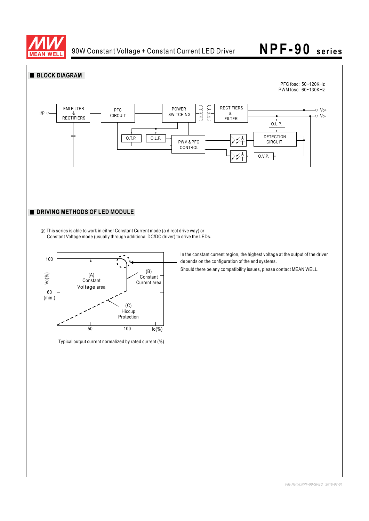

# **NPF-90 series**





Typical output current normalized by rated current (%)

*File Name:NPF-90-SPEC 2016-07-01*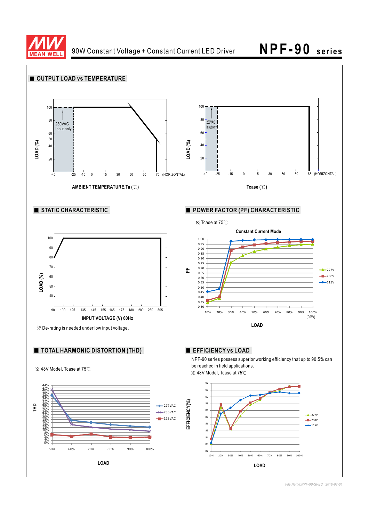

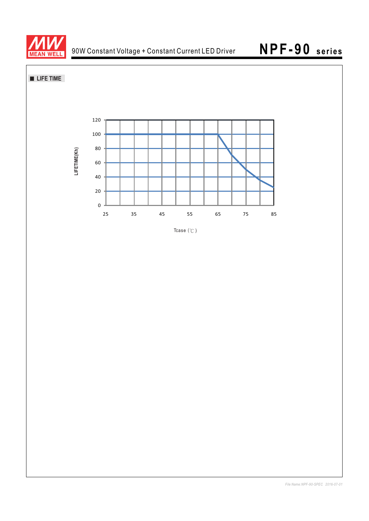